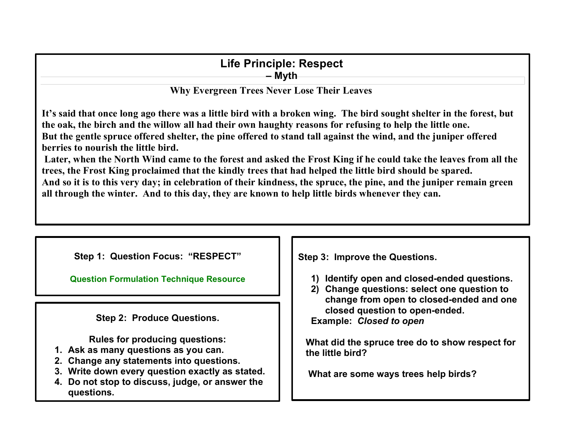## **Life Principle: Respect**

**– Myth**

## **Why Evergreen Trees Never Lose Their Leaves**

**It's said that once long ago there was a little bird with a broken wing. The bird sought shelter in the forest, but the oak, the birch and the willow all had their own haughty reasons for refusing to help the little one. But the gentle spruce offered shelter, the pine offered to stand tall against the wind, and the juniper offered berries to nourish the little bird.**

**Later, when the North Wind came to the forest and asked the Frost King if he could take the leaves from all the trees, the Frost King proclaimed that the kindly trees that had helped the little bird should be spared. And so it is to this very day; in celebration of their kindness, the spruce, the pine, and the juniper remain green all through the winter. And to this day, they are known to help little birds whenever they can.**

**Step 1: Question Focus: "RESPECT"**

**[Question Formulation](http://www.greatexpectations.org/question-technique-formulation-resource) Technique Resource** 

**Step 2: Produce Questions.**

**Rules for producing questions:**

- **1. Ask as many questions as you can.**
- **2. Change any statements into questions.**
- **3. Write down every question exactly as stated.**
- **4. Do not stop to discuss, judge, or answer the questions.**

**Step 3: Improve the Questions.**

- **1) Identify open and closed-ended questions.**
- **2) Change questions: select one question to change from open to closed-ended and one closed question to open-ended. Example:** *Closed to open*

 **What did the spruce tree do to show respect for the little bird?**

 **What are some ways trees help birds?**